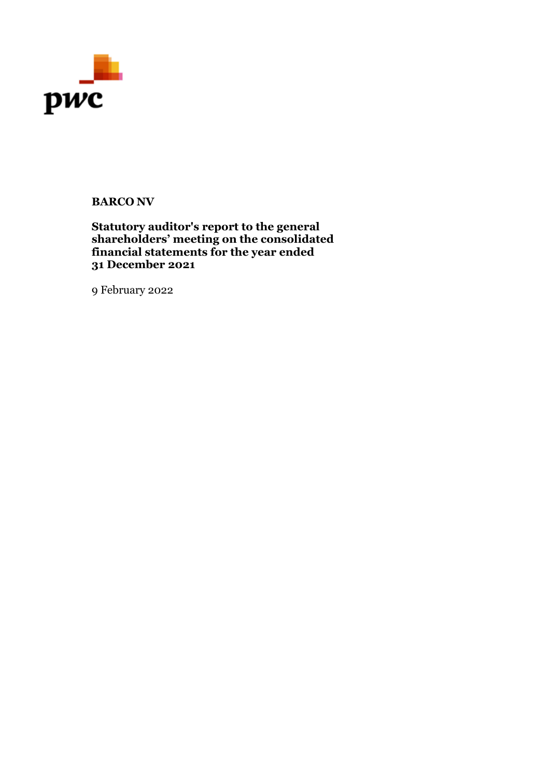

# **BARCO NV**

# **Statutory auditor's report to the general shareholders' meeting on the consolidated financial statements for the year ended 31 December 2021**

9 February 2022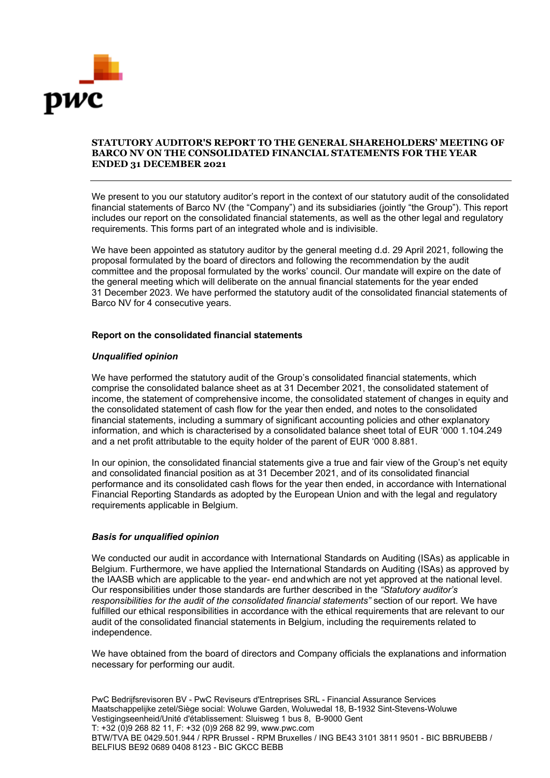

## **STATUTORY AUDITOR'S REPORT TO THE GENERAL SHAREHOLDERS' MEETING OF BARCO NV ON THE CONSOLIDATED FINANCIAL STATEMENTS FOR THE YEAR ENDED 31 DECEMBER 2021**

We present to you our statutory auditor's report in the context of our statutory audit of the consolidated financial statements of Barco NV (the "Company") and its subsidiaries (jointly "the Group"). This report includes our report on the consolidated financial statements, as well as the other legal and regulatory requirements. This forms part of an integrated whole and is indivisible.

We have been appointed as statutory auditor by the general meeting d.d. 29 April 2021, following the proposal formulated by the board of directors and following the recommendation by the audit committee and the proposal formulated by the works' council. Our mandate will expire on the date of the general meeting which will deliberate on the annual financial statements for the year ended 31 December 2023. We have performed the statutory audit of the consolidated financial statements of Barco NV for 4 consecutive years.

## **Report on the consolidated financial statements**

## *Unqualified opinion*

We have performed the statutory audit of the Group's consolidated financial statements, which comprise the consolidated balance sheet as at 31 December 2021, the consolidated statement of income, the statement of comprehensive income, the consolidated statement of changes in equity and the consolidated statement of cash flow for the year then ended, and notes to the consolidated financial statements, including a summary of significant accounting policies and other explanatory information, and which is characterised by a consolidated balance sheet total of EUR '000 1.104.249 and a net profit attributable to the equity holder of the parent of EUR '000 8.881.

In our opinion, the consolidated financial statements give a true and fair view of the Group's net equity and consolidated financial position as at 31 December 2021, and of its consolidated financial performance and its consolidated cash flows for the year then ended, in accordance with International Financial Reporting Standards as adopted by the European Union and with the legal and regulatory requirements applicable in Belgium.

# *Basis for unqualified opinion*

We conducted our audit in accordance with International Standards on Auditing (ISAs) as applicable in Belgium. Furthermore, we have applied the International Standards on Auditing (ISAs) as approved by the IAASB which are applicable to the year- end andwhich are not yet approved at the national level. Our responsibilities under those standards are further described in the *"Statutory auditor's responsibilities for the audit of the consolidated financial statements"* section of our report. We have fulfilled our ethical responsibilities in accordance with the ethical requirements that are relevant to our audit of the consolidated financial statements in Belgium, including the requirements related to independence.

We have obtained from the board of directors and Company officials the explanations and information necessary for performing our audit.

PwC Bedrijfsrevisoren BV - PwC Reviseurs d'Entreprises SRL - Financial Assurance Services Maatschappelijke zetel/Siège social: Woluwe Garden, Woluwedal 18, B-1932 Sint-Stevens-Woluwe Vestigingseenheid/Unité d'établissement: Sluisweg 1 bus 8, B-9000 Gent T: +32 (0)9 268 82 11, F: +32 (0)9 268 82 99, www.pwc.com BTW/TVA BE 0429.501.944 / RPR Brussel - RPM Bruxelles / ING BE43 3101 3811 9501 - BIC BBRUBEBB / BELFIUS BE92 0689 0408 8123 - BIC GKCC BEBB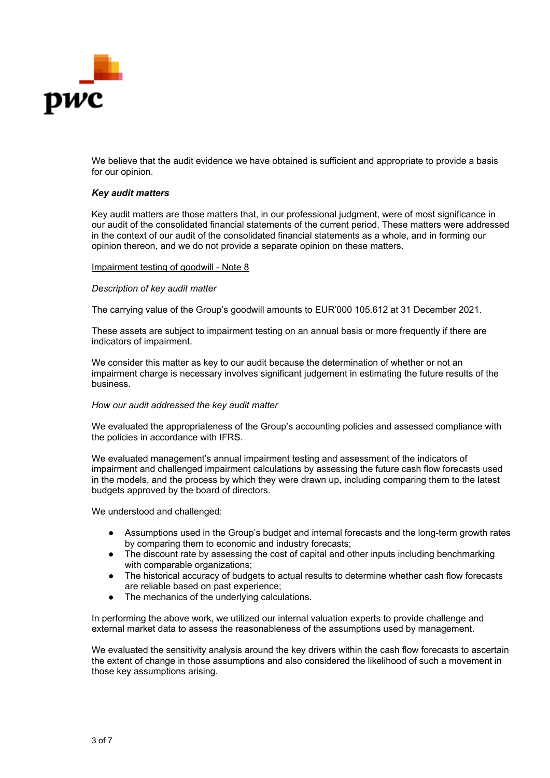

We believe that the audit evidence we have obtained is sufficient and appropriate to provide a basis for our opinion.

## *Key audit matters*

Key audit matters are those matters that, in our professional judgment, were of most significance in our audit of the consolidated financial statements of the current period. These matters were addressed in the context of our audit of the consolidated financial statements as a whole, and in forming our opinion thereon, and we do not provide a separate opinion on these matters.

#### Impairment testing of goodwill - Note 8

## *Description of key audit matter*

The carrying value of the Group's goodwill amounts to EUR'000 105.612 at 31 December 2021.

These assets are subject to impairment testing on an annual basis or more frequently if there are indicators of impairment.

We consider this matter as key to our audit because the determination of whether or not an impairment charge is necessary involves significant judgement in estimating the future results of the business.

## *How our audit addressed the key audit matter*

We evaluated the appropriateness of the Group's accounting policies and assessed compliance with the policies in accordance with IFRS.

We evaluated management's annual impairment testing and assessment of the indicators of impairment and challenged impairment calculations by assessing the future cash flow forecasts used in the models, and the process by which they were drawn up, including comparing them to the latest budgets approved by the board of directors.

We understood and challenged:

- Assumptions used in the Group's budget and internal forecasts and the long-term growth rates by comparing them to economic and industry forecasts;
- The discount rate by assessing the cost of capital and other inputs including benchmarking with comparable organizations;
- The historical accuracy of budgets to actual results to determine whether cash flow forecasts are reliable based on past experience;
- The mechanics of the underlying calculations.

In performing the above work, we utilized our internal valuation experts to provide challenge and external market data to assess the reasonableness of the assumptions used by management.

We evaluated the sensitivity analysis around the key drivers within the cash flow forecasts to ascertain the extent of change in those assumptions and also considered the likelihood of such a movement in those key assumptions arising.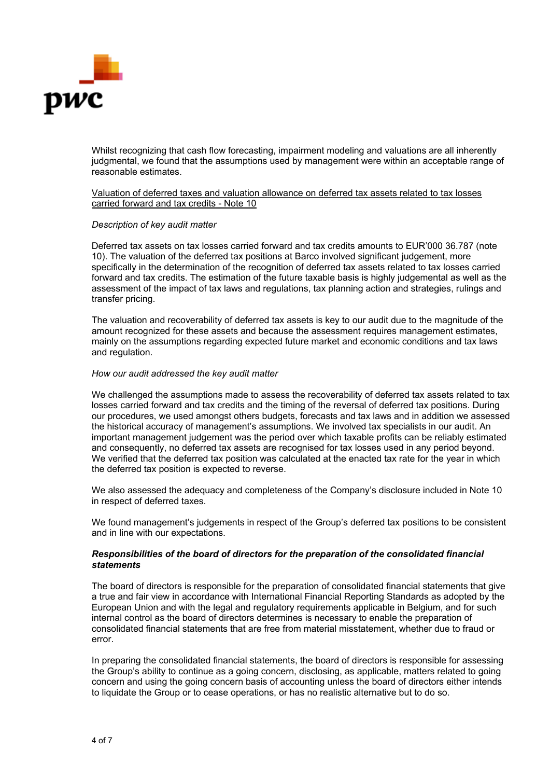

Whilst recognizing that cash flow forecasting, impairment modeling and valuations are all inherently judgmental, we found that the assumptions used by management were within an acceptable range of reasonable estimates.

Valuation of deferred taxes and valuation allowance on deferred tax assets related to tax losses carried forward and tax credits - Note 10

## *Description of key audit matter*

Deferred tax assets on tax losses carried forward and tax credits amounts to EUR'000 36.787 (note 10). The valuation of the deferred tax positions at Barco involved significant judgement, more specifically in the determination of the recognition of deferred tax assets related to tax losses carried forward and tax credits. The estimation of the future taxable basis is highly judgemental as well as the assessment of the impact of tax laws and regulations, tax planning action and strategies, rulings and transfer pricing.

The valuation and recoverability of deferred tax assets is key to our audit due to the magnitude of the amount recognized for these assets and because the assessment requires management estimates, mainly on the assumptions regarding expected future market and economic conditions and tax laws and regulation.

## *How our audit addressed the key audit matter*

We challenged the assumptions made to assess the recoverability of deferred tax assets related to tax losses carried forward and tax credits and the timing of the reversal of deferred tax positions. During our procedures, we used amongst others budgets, forecasts and tax laws and in addition we assessed the historical accuracy of management's assumptions. We involved tax specialists in our audit. An important management judgement was the period over which taxable profits can be reliably estimated and consequently, no deferred tax assets are recognised for tax losses used in any period beyond. We verified that the deferred tax position was calculated at the enacted tax rate for the year in which the deferred tax position is expected to reverse.

We also assessed the adequacy and completeness of the Company's disclosure included in Note 10 in respect of deferred taxes.

We found management's judgements in respect of the Group's deferred tax positions to be consistent and in line with our expectations.

## *Responsibilities of the board of directors for the preparation of the consolidated financial statements*

The board of directors is responsible for the preparation of consolidated financial statements that give a true and fair view in accordance with International Financial Reporting Standards as adopted by the European Union and with the legal and regulatory requirements applicable in Belgium, and for such internal control as the board of directors determines is necessary to enable the preparation of consolidated financial statements that are free from material misstatement, whether due to fraud or error.

In preparing the consolidated financial statements, the board of directors is responsible for assessing the Group's ability to continue as a going concern, disclosing, as applicable, matters related to going concern and using the going concern basis of accounting unless the board of directors either intends to liquidate the Group or to cease operations, or has no realistic alternative but to do so.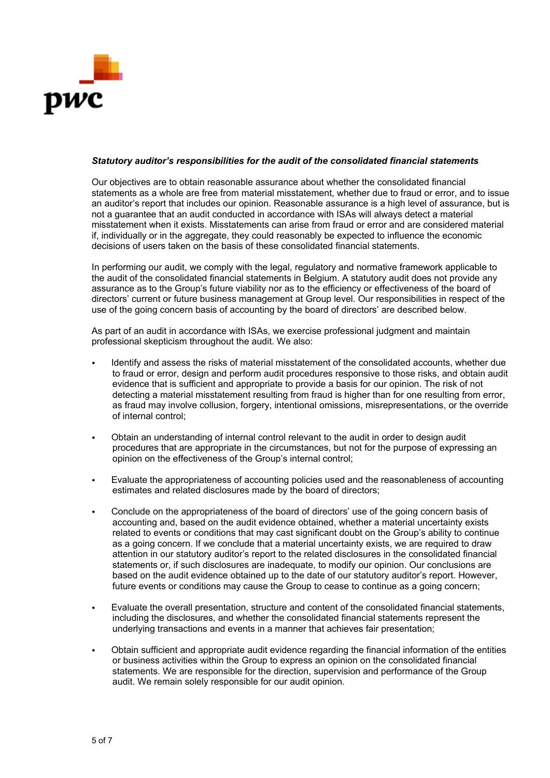

## *Statutory auditor's responsibilities for the audit of the consolidated financial statements*

Our objectives are to obtain reasonable assurance about whether the consolidated financial statements as a whole are free from material misstatement, whether due to fraud or error, and to issue an auditor's report that includes our opinion. Reasonable assurance is a high level of assurance, but is not a guarantee that an audit conducted in accordance with ISAs will always detect a material misstatement when it exists. Misstatements can arise from fraud or error and are considered material if, individually or in the aggregate, they could reasonably be expected to influence the economic decisions of users taken on the basis of these consolidated financial statements.

In performing our audit, we comply with the legal, regulatory and normative framework applicable to the audit of the consolidated financial statements in Belgium. A statutory audit does not provide any assurance as to the Group's future viability nor as to the efficiency or effectiveness of the board of directors' current or future business management at Group level. Our responsibilities in respect of the use of the going concern basis of accounting by the board of directors' are described below.

As part of an audit in accordance with ISAs, we exercise professional judgment and maintain professional skepticism throughout the audit. We also:

- Identify and assess the risks of material misstatement of the consolidated accounts, whether due to fraud or error, design and perform audit procedures responsive to those risks, and obtain audit evidence that is sufficient and appropriate to provide a basis for our opinion. The risk of not detecting a material misstatement resulting from fraud is higher than for one resulting from error, as fraud may involve collusion, forgery, intentional omissions, misrepresentations, or the override of internal control;
- Obtain an understanding of internal control relevant to the audit in order to design audit procedures that are appropriate in the circumstances, but not for the purpose of expressing an opinion on the effectiveness of the Group's internal control;
- Evaluate the appropriateness of accounting policies used and the reasonableness of accounting estimates and related disclosures made by the board of directors;
- Conclude on the appropriateness of the board of directors' use of the going concern basis of accounting and, based on the audit evidence obtained, whether a material uncertainty exists related to events or conditions that may cast significant doubt on the Group's ability to continue as a going concern. If we conclude that a material uncertainty exists, we are required to draw attention in our statutory auditor's report to the related disclosures in the consolidated financial statements or, if such disclosures are inadequate, to modify our opinion. Our conclusions are based on the audit evidence obtained up to the date of our statutory auditor's report. However, future events or conditions may cause the Group to cease to continue as a going concern;
- Evaluate the overall presentation, structure and content of the consolidated financial statements, including the disclosures, and whether the consolidated financial statements represent the underlying transactions and events in a manner that achieves fair presentation;
- Obtain sufficient and appropriate audit evidence regarding the financial information of the entities or business activities within the Group to express an opinion on the consolidated financial statements. We are responsible for the direction, supervision and performance of the Group audit. We remain solely responsible for our audit opinion.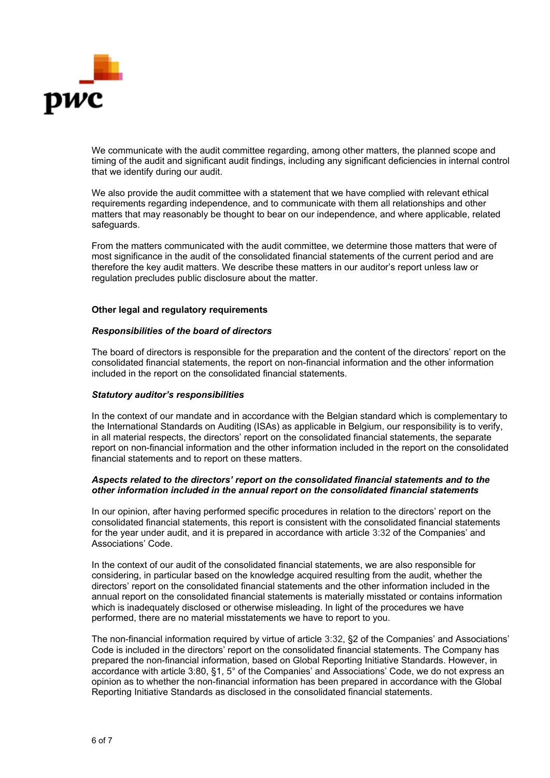

We communicate with the audit committee regarding, among other matters, the planned scope and timing of the audit and significant audit findings, including any significant deficiencies in internal control that we identify during our audit.

We also provide the audit committee with a statement that we have complied with relevant ethical requirements regarding independence, and to communicate with them all relationships and other matters that may reasonably be thought to bear on our independence, and where applicable, related safeguards.

From the matters communicated with the audit committee, we determine those matters that were of most significance in the audit of the consolidated financial statements of the current period and are therefore the key audit matters. We describe these matters in our auditor's report unless law or regulation precludes public disclosure about the matter.

## **Other legal and regulatory requirements**

## *Responsibilities of the board of directors*

The board of directors is responsible for the preparation and the content of the directors' report on the consolidated financial statements, the report on non-financial information and the other information included in the report on the consolidated financial statements.

## *Statutory auditor's responsibilities*

In the context of our mandate and in accordance with the Belgian standard which is complementary to the International Standards on Auditing (ISAs) as applicable in Belgium, our responsibility is to verify, in all material respects, the directors' report on the consolidated financial statements, the separate report on non-financial information and the other information included in the report on the consolidated financial statements and to report on these matters.

## *Aspects related to the directors' report on the consolidated financial statements and to the other information included in the annual report on the consolidated financial statements*

In our opinion, after having performed specific procedures in relation to the directors' report on the consolidated financial statements, this report is consistent with the consolidated financial statements for the year under audit, and it is prepared in accordance with article 3:32 of the Companies' and Associations' Code.

In the context of our audit of the consolidated financial statements, we are also responsible for considering, in particular based on the knowledge acquired resulting from the audit, whether the directors' report on the consolidated financial statements and the other information included in the annual report on the consolidated financial statements is materially misstated or contains information which is inadequately disclosed or otherwise misleading. In light of the procedures we have performed, there are no material misstatements we have to report to you.

The non-financial information required by virtue of article 3:32, §2 of the Companies' and Associations' Code is included in the directors' report on the consolidated financial statements. The Company has prepared the non-financial information, based on Global Reporting Initiative Standards. However, in accordance with article 3:80, §1, 5° of the Companies' and Associations' Code, we do not express an opinion as to whether the non-financial information has been prepared in accordance with the Global Reporting Initiative Standards as disclosed in the consolidated financial statements.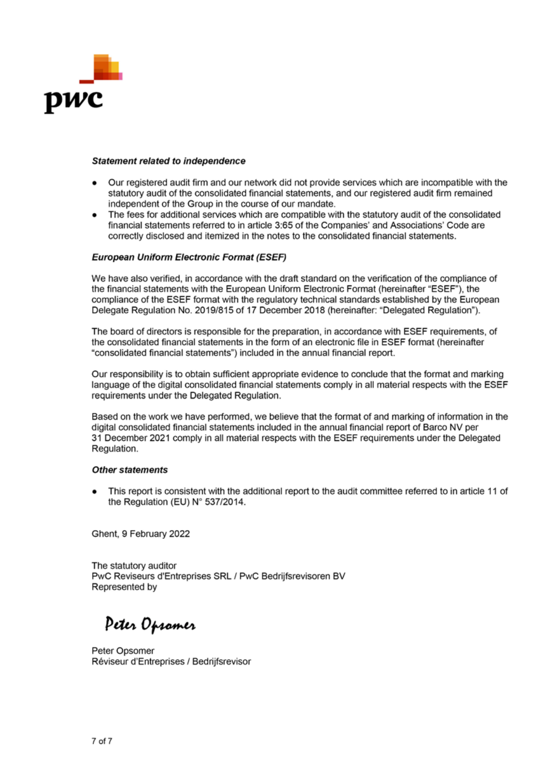

#### **Statement related to independence**

- Our registered audit firm and our network did not provide services which are incompatible with the statutory audit of the consolidated financial statements, and our registered audit firm remained independent of the Group in the course of our mandate.
- The fees for additional services which are compatible with the statutory audit of the consolidated financial statements referred to in article 3:65 of the Companies' and Associations' Code are correctly disclosed and itemized in the notes to the consolidated financial statements.

## **European Uniform Electronic Format (ESEF)**

We have also verified, in accordance with the draft standard on the verification of the compliance of the financial statements with the European Uniform Electronic Format (hereinafter "ESEF"), the compliance of the ESEF format with the regulatory technical standards established by the European Delegate Regulation No. 2019/815 of 17 December 2018 (hereinafter: "Delegated Regulation").

The board of directors is responsible for the preparation, in accordance with ESEF requirements, of the consolidated financial statements in the form of an electronic file in ESEF format (hereinafter "consolidated financial statements") included in the annual financial report.

Our responsibility is to obtain sufficient appropriate evidence to conclude that the format and marking language of the digital consolidated financial statements comply in all material respects with the ESEF requirements under the Delegated Regulation.

Based on the work we have performed, we believe that the format of and marking of information in the digital consolidated financial statements included in the annual financial report of Barco NV per 31 December 2021 comply in all material respects with the ESEF requirements under the Delegated Regulation.

## **Other statements**

This report is consistent with the additional report to the audit committee referred to in article 11 of the Regulation (EU) N° 537/2014.

Ghent, 9 February 2022

The statutory auditor PwC Reviseurs d'Entreprises SRL / PwC Bedrijfsrevisoren BV Represented by

Peter Opsomer

Peter Opsomer Réviseur d'Entreprises / Bedrijfsrevisor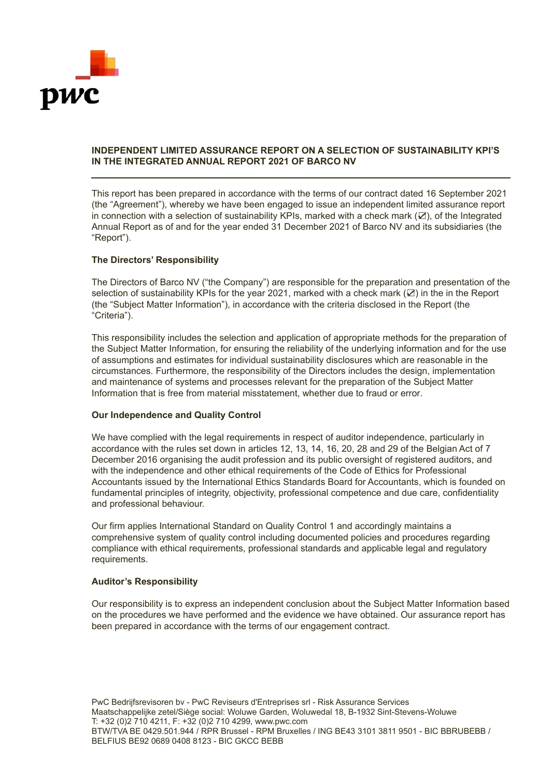

# **INDEPENDENT LIMITED ASSURANCE REPORT ON A SELECTION OF SUSTAINABILITY KPI'S IN THE INTEGRATED ANNUAL REPORT 2021 OF BARCO NV**

This report has been prepared in accordance with the terms of our contract dated 16 September 2021 (the "Agreement"), whereby we have been engaged to issue an independent limited assurance report in connection with a selection of sustainability KPIs, marked with a check mark (☑), of the Integrated Annual Report as of and for the year ended 31 December 2021 of Barco NV and its subsidiaries (the "Report").

# **The Directors' Responsibility**

The Directors of Barco NV ("the Company") are responsible for the preparation and presentation of the selection of sustainability KPIs for the year 2021, marked with a check mark (☑) in the in the Report (the "Subject Matter Information"), in accordance with the criteria disclosed in the Report (the "Criteria").

This responsibility includes the selection and application of appropriate methods for the preparation of the Subject Matter Information, for ensuring the reliability of the underlying information and for the use of assumptions and estimates for individual sustainability disclosures which are reasonable in the circumstances. Furthermore, the responsibility of the Directors includes the design, implementation and maintenance of systems and processes relevant for the preparation of the Subject Matter Information that is free from material misstatement, whether due to fraud or error.

## **Our Independence and Quality Control**

We have complied with the legal requirements in respect of auditor independence, particularly in accordance with the rules set down in articles 12, 13, 14, 16, 20, 28 and 29 of the Belgian Act of 7 December 2016 organising the audit profession and its public oversight of registered auditors, and with the independence and other ethical requirements of the Code of Ethics for Professional Accountants issued by the International Ethics Standards Board for Accountants, which is founded on fundamental principles of integrity, objectivity, professional competence and due care, confidentiality and professional behaviour.

Our firm applies International Standard on Quality Control 1 and accordingly maintains a comprehensive system of quality control including documented policies and procedures regarding compliance with ethical requirements, professional standards and applicable legal and regulatory requirements.

## **Auditor's Responsibility**

Our responsibility is to express an independent conclusion about the Subject Matter Information based on the procedures we have performed and the evidence we have obtained. Our assurance report has been prepared in accordance with the terms of our engagement contract.